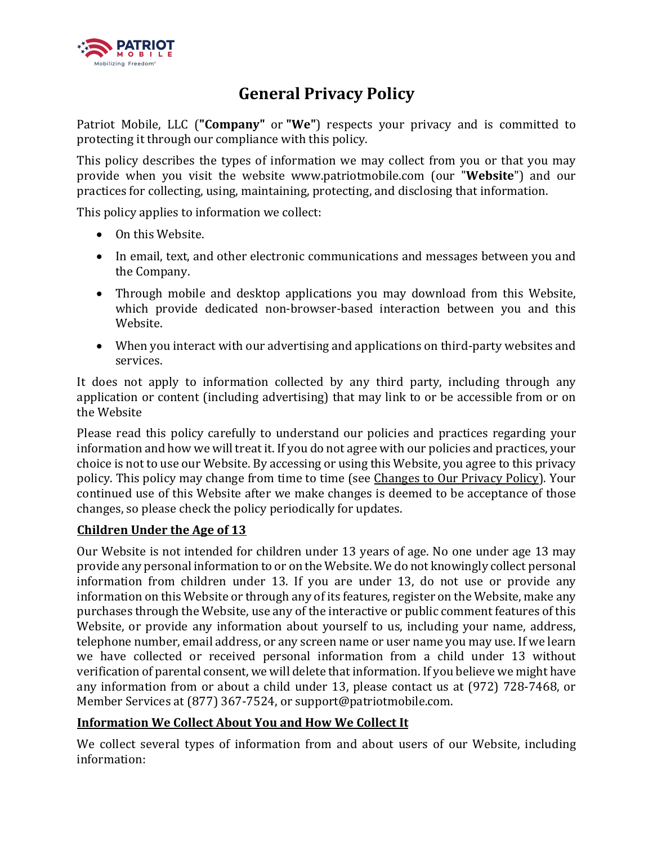

# **General Privacy Policy**

Patriot Mobile, LLC ("**Company**" or "We") respects your privacy and is committed to protecting it through our compliance with this policy.

This policy describes the types of information we may collect from you or that you may provide when you visit the website www.patriotmobile.com (our "Website") and our practices for collecting, using, maintaining, protecting, and disclosing that information.

This policy applies to information we collect:

- On this Website.
- In email, text, and other electronic communications and messages between you and the Company.
- Through mobile and desktop applications you may download from this Website, which provide dedicated non-browser-based interaction between you and this Website.
- When you interact with our advertising and applications on third-party websites and services.

It does not apply to information collected by any third party, including through any application or content (including advertising) that may link to or be accessible from or on the Website

Please read this policy carefully to understand our policies and practices regarding your information and how we will treat it. If you do not agree with our policies and practices, your choice is not to use our Website. By accessing or using this Website, you agree to this privacy policy. This policy may change from time to time (see Changes to Our Privacy Policy). Your continued use of this Website after we make changes is deemed to be acceptance of those changes, so please check the policy periodically for updates.

#### **Children Under the Age of 13**

Our Website is not intended for children under 13 years of age. No one under age 13 may provide any personal information to or on the Website. We do not knowingly collect personal information from children under 13. If you are under 13, do not use or provide any information on this Website or through any of its features, register on the Website, make any purchases through the Website, use any of the interactive or public comment features of this Website, or provide any information about yourself to us, including your name, address, telephone number, email address, or any screen name or user name you may use. If we learn we have collected or received personal information from a child under 13 without verification of parental consent, we will delete that information. If you believe we might have any information from or about a child under 13, please contact us at (972) 728-7468, or Member Services at (877) 367-7524, or support@patriotmobile.com.

#### **Information We Collect About You and How We Collect It**

We collect several types of information from and about users of our Website, including information: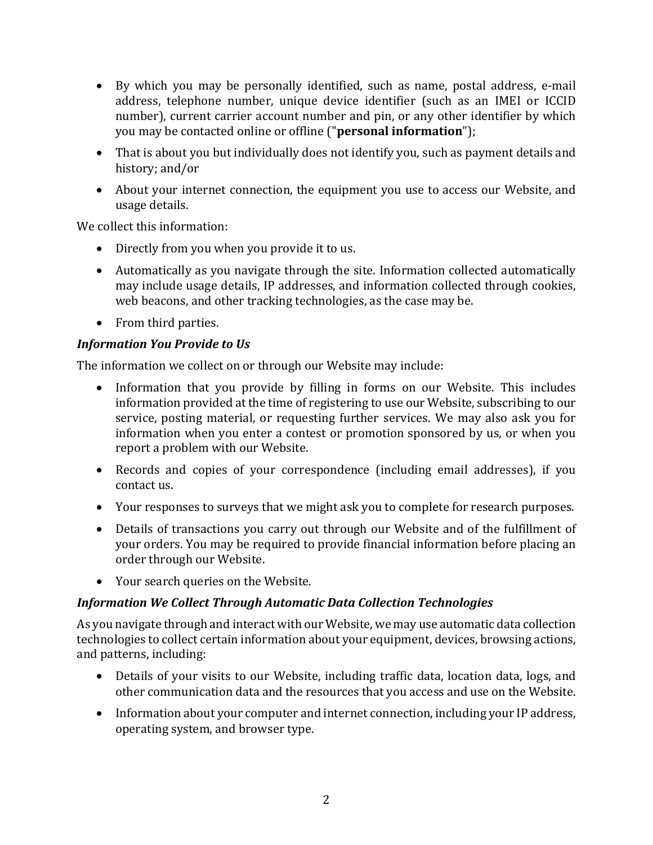- By which you may be personally identified, such as name, postal address, e-mail address, telephone number, unique device identifier (such as an IMEI or ICCID number), current carrier account number and pin, or any other identifier by which you may be contacted online or offline ("**personal information**");
- That is about you but individually does not identify you, such as payment details and history; and/or
- About your internet connection, the equipment you use to access our Website, and usage details.

We collect this information:

- Directly from you when you provide it to us.
- Automatically as you navigate through the site. Information collected automatically may include usage details, IP addresses, and information collected through cookies, web beacons, and other tracking technologies, as the case may be.
- From third parties.

#### **Information You Provide to Us**

The information we collect on or through our Website may include:

- Information that you provide by filling in forms on our Website. This includes information provided at the time of registering to use our Website, subscribing to our service, posting material, or requesting further services. We may also ask you for information when you enter a contest or promotion sponsored by us, or when you report a problem with our Website.
- Records and copies of your correspondence (including email addresses), if you contact us.
- Your responses to surveys that we might ask you to complete for research purposes.
- Details of transactions you carry out through our Website and of the fulfillment of your orders. You may be required to provide financial information before placing an order through our Website.
- Your search queries on the Website.

## *Information We Collect Through Automatic Data Collection Technologies*

As you navigate through and interact with our Website, we may use automatic data collection technologies to collect certain information about your equipment, devices, browsing actions, and patterns, including:

- Details of your visits to our Website, including traffic data, location data, logs, and other communication data and the resources that you access and use on the Website.
- Information about your computer and internet connection, including your IP address, operating system, and browser type.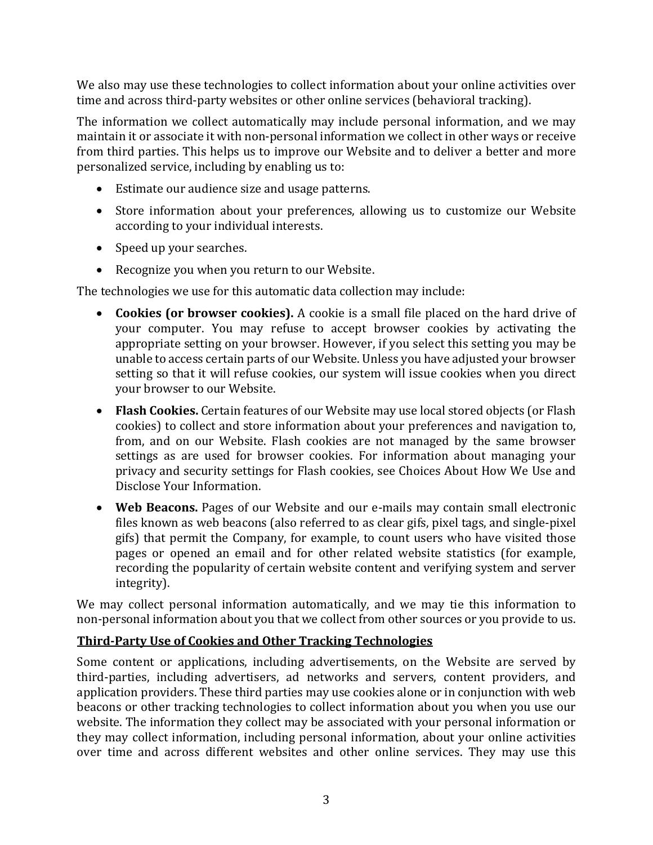We also may use these technologies to collect information about your online activities over time and across third-party websites or other online services (behavioral tracking).

The information we collect automatically may include personal information, and we may maintain it or associate it with non-personal information we collect in other ways or receive from third parties. This helps us to improve our Website and to deliver a better and more personalized service, including by enabling us to:

- Estimate our audience size and usage patterns.
- Store information about your preferences, allowing us to customize our Website according to your individual interests.
- Speed up your searches.
- Recognize you when you return to our Website.

The technologies we use for this automatic data collection may include:

- Cookies (or browser cookies). A cookie is a small file placed on the hard drive of your computer. You may refuse to accept browser cookies by activating the appropriate setting on your browser. However, if you select this setting you may be unable to access certain parts of our Website. Unless you have adjusted your browser setting so that it will refuse cookies, our system will issue cookies when you direct your browser to our Website.
- Flash Cookies. Certain features of our Website may use local stored objects (or Flash cookies) to collect and store information about your preferences and navigation to, from, and on our Website. Flash cookies are not managed by the same browser settings as are used for browser cookies. For information about managing your privacy and security settings for Flash cookies, see Choices About How We Use and Disclose Your Information.
- Web Beacons. Pages of our Website and our e-mails may contain small electronic files known as web beacons (also referred to as clear gifs, pixel tags, and single-pixel gifs) that permit the Company, for example, to count users who have visited those pages or opened an email and for other related website statistics (for example, recording the popularity of certain website content and verifying system and server integrity).

We may collect personal information automatically, and we may tie this information to non-personal information about you that we collect from other sources or you provide to us.

#### **Third-Party Use of Cookies and Other Tracking Technologies**

Some content or applications, including advertisements, on the Website are served by third-parties, including advertisers, ad networks and servers, content providers, and application providers. These third parties may use cookies alone or in conjunction with web beacons or other tracking technologies to collect information about you when you use our website. The information they collect may be associated with your personal information or they may collect information, including personal information, about your online activities over time and across different websites and other online services. They may use this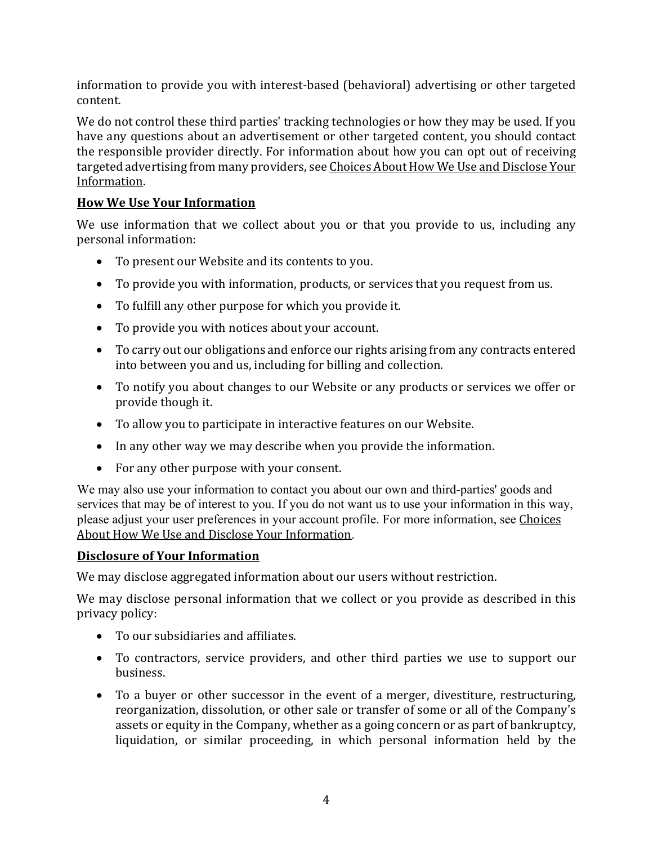information to provide you with interest-based (behavioral) advertising or other targeted content. 

We do not control these third parties' tracking technologies or how they may be used. If you have any questions about an advertisement or other targeted content, you should contact the responsible provider directly. For information about how you can opt out of receiving targeted advertising from many providers, see Choices About How We Use and Disclose Your Information.

## **How We Use Your Information**

We use information that we collect about you or that you provide to us, including any personal information:

- To present our Website and its contents to you.
- To provide you with information, products, or services that you request from us.
- To fulfill any other purpose for which you provide it.
- To provide you with notices about your account.
- To carry out our obligations and enforce our rights arising from any contracts entered into between you and us, including for billing and collection.
- To notify you about changes to our Website or any products or services we offer or provide though it.
- To allow you to participate in interactive features on our Website.
- In any other way we may describe when you provide the information.
- For any other purpose with your consent.

We may also use your information to contact you about our own and third-parties' goods and services that may be of interest to you. If you do not want us to use your information in this way, please adjust your user preferences in your account profile. For more information, see Choices About How We Use and Disclose Your Information.

#### **Disclosure of Your Information**

We may disclose aggregated information about our users without restriction.

We may disclose personal information that we collect or you provide as described in this privacy policy:

- To our subsidiaries and affiliates.
- To contractors, service providers, and other third parties we use to support our business.
- To a buyer or other successor in the event of a merger, divestiture, restructuring, reorganization, dissolution, or other sale or transfer of some or all of the Company's assets or equity in the Company, whether as a going concern or as part of bankruptcy, liquidation, or similar proceeding, in which personal information held by the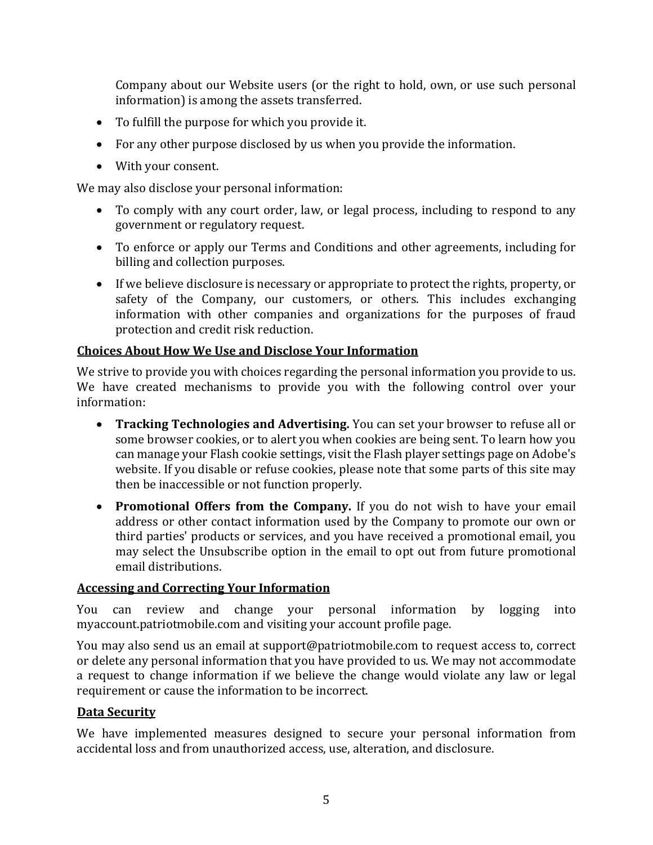Company about our Website users (or the right to hold, own, or use such personal information) is among the assets transferred.

- To fulfill the purpose for which you provide it.
- For any other purpose disclosed by us when you provide the information.
- With your consent.

We may also disclose your personal information:

- To comply with any court order, law, or legal process, including to respond to any government or regulatory request.
- To enforce or apply our Terms and Conditions and other agreements, including for billing and collection purposes.
- If we believe disclosure is necessary or appropriate to protect the rights, property, or safety of the Company, our customers, or others. This includes exchanging information with other companies and organizations for the purposes of fraud protection and credit risk reduction.

#### **Choices About How We Use and Disclose Your Information**

We strive to provide you with choices regarding the personal information you provide to us. We have created mechanisms to provide you with the following control over your information: 

- **Tracking Technologies and Advertising.** You can set your browser to refuse all or some browser cookies, or to alert you when cookies are being sent. To learn how you can manage your Flash cookie settings, visit the Flash player settings page on Adobe's website. If you disable or refuse cookies, please note that some parts of this site may then be inaccessible or not function properly.
- **Promotional Offers from the Company.** If you do not wish to have your email address or other contact information used by the Company to promote our own or third parties' products or services, and you have received a promotional email, you may select the Unsubscribe option in the email to opt out from future promotional email distributions.

#### **Accessing and Correcting Your Information**

You can review and change your personal information by logging into myaccount.patriotmobile.com and visiting your account profile page.

You may also send us an email at support@patriotmobile.com to request access to, correct or delete any personal information that you have provided to us. We may not accommodate a request to change information if we believe the change would violate any law or legal requirement or cause the information to be incorrect.

#### **Data Security**

We have implemented measures designed to secure your personal information from accidental loss and from unauthorized access, use, alteration, and disclosure.